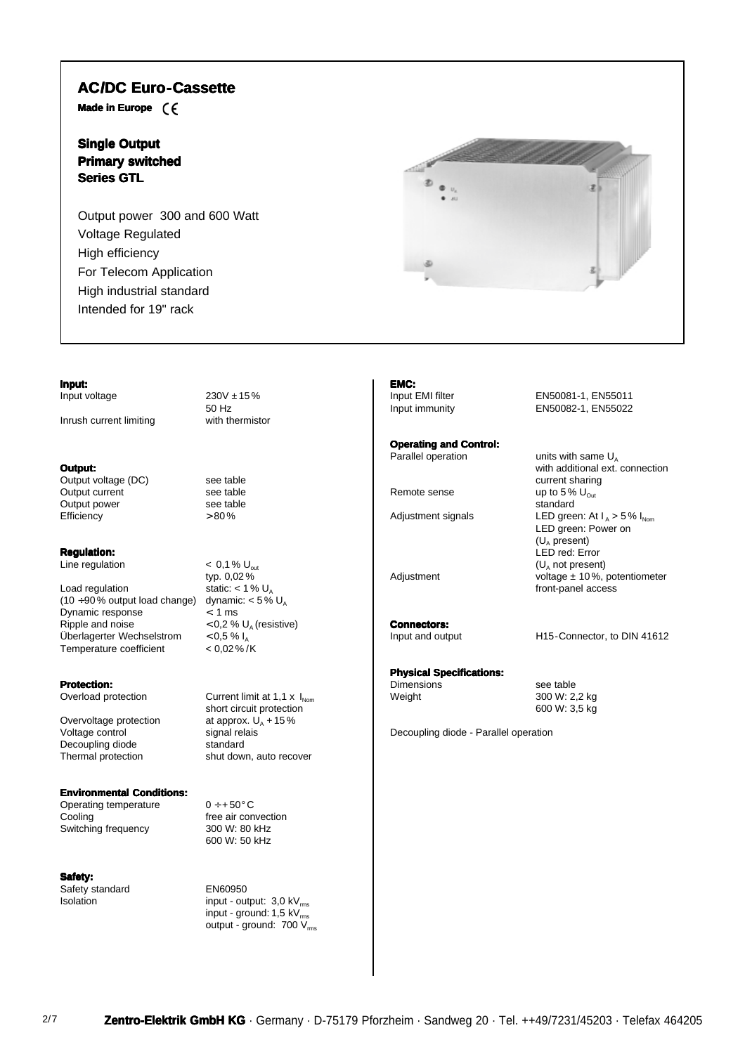# **AC/DC Euro-Cassette**

**Made in Europe**

# **Single Output Primary switched Series GTL**

**Input:**

**Output:**

**Efficiency** 

**Regulation:**

Load regulation

Dynamic response

**Protection:**<br>Overload protection

Decoupling diode

Temperature coefficient

Output power 300 and 600 Watt Voltage Regulated High efficiency For Telecom Application High industrial standard Intended for 19" rack

Input voltage  $230V \pm 15\%$ 

Inrush current limiting with thermistor



**Operating and Control:**

**EMC:**

**Connectors:**<br>Input and output

### **Physical Specifications:**

Dimensions see table<br>Weight 300 W: 2,

Decoupling diode - Parallel operation

Input EMI filter EN50081-1, EN55011 Input immunity EN50082-1, EN55022

Parallel operation  $\qquad \qquad$  units with same  $U_A$ with additional ext. connection current sharing Remote sense  $\qquad \qquad \text{up to 5\% } U_{\text{Out}}$ standard LED green: Power on  $(U_A$  present) LED red: Error  $(U<sub>A</sub>$  not present) Adjustment voltage ± 10%, potentiometer front-panel access

H15-Connector, to DIN 41612

300 W: 2,2 kg 600 W: 3,5 kg

Overvoltage protection at approx. U<br>Voltage control signal relais Voltage control signal rel<br>Decoupling diode standard Thermal protection shut down, auto recover

## **Environmental Conditions:**

Operating temperature  $0 \div 50^{\circ}$  C<br>Cooling free air con Switching frequency

**Safety:** Safety standard EN60950

Output voltage (DC) see table<br>Output current see table Output current see table<br>
Output power<br>
see table Output power<br>Efficiency see table

50 Hz

Line regulation  $\leq 0.1 \%$  U<sub>out</sub> typ.  $0,02\%$ <br>static: < 1 %  $U_A$  $(10 \div 90\%$  output load change) dynamic:  $< 5\%$  U<sub>A</sub><br>Dynamic response  $< 1$  ms Ripple and noise  $0.2 \% U_A$  (resistive)<br>Überlagerter Wechselstrom  $0.5 \% I_A$ Überlagerter Wechselstrom  $< 0.5 \% I_A$ <br>Temperature coefficient  $< 0.02 \% / K$ 

> Current limit at  $1,1 \times I_{\text{Nom}}$ short circuit protection<br>at approx.  $U_A + 15\%$

free air convection<br>300 W: 80 kHz 600 W: 50 kHz

 $Isolation$  input - output:  $3.0 \text{ kV}_{rms}$ input - ground:  $1,5$  kV $<sub>m</sub>$ </sub> output - ground:  $700 V_{\text{rms}}$